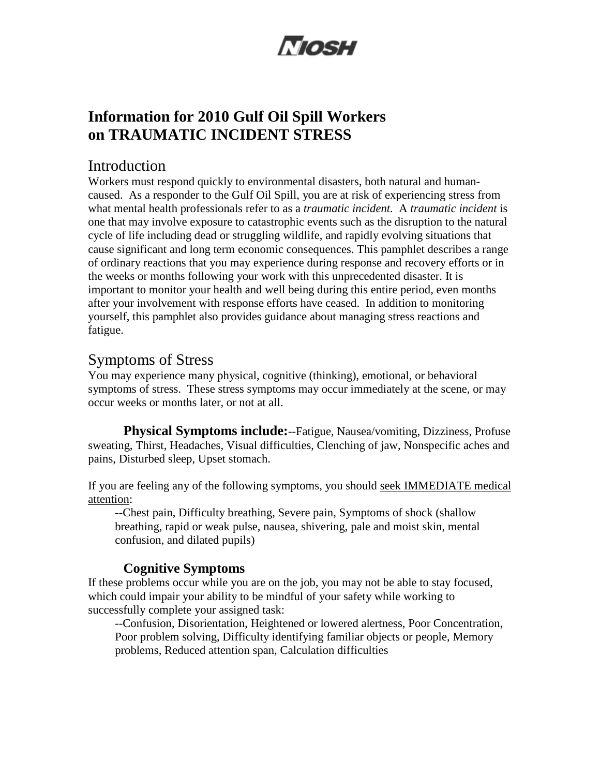# Mosu

## **Information for 2010 Gulf Oil Spill Workers on TRAUMATIC INCIDENT STRESS**

## Introduction

Workers must respond quickly to environmental disasters, both natural and humancaused. As a responder to the Gulf Oil Spill, you are at risk of experiencing stress from what mental health professionals refer to as a *traumatic incident.* A *traumatic incident* is one that may involve exposure to catastrophic events such as the disruption to the natural cycle of life including dead or struggling wildlife, and rapidly evolving situations that cause significant and long term economic consequences. This pamphlet describes a range of ordinary reactions that you may experience during response and recovery efforts or in the weeks or months following your work with this unprecedented disaster. It is important to monitor your health and well being during this entire period, even months after your involvement with response efforts have ceased. In addition to monitoring yourself, this pamphlet also provides guidance about managing stress reactions and fatigue.

## Symptoms of Stress

You may experience many physical, cognitive (thinking), emotional, or behavioral symptoms of stress. These stress symptoms may occur immediately at the scene, or may occur weeks or months later, or not at all.

**Physical Symptoms include:**--Fatigue, Nausea/vomiting, Dizziness, Profuse sweating, Thirst, Headaches, Visual difficulties, Clenching of jaw, Nonspecific aches and pains, Disturbed sleep, Upset stomach.

If you are feeling any of the following symptoms, you should seek IMMEDIATE medical attention:

--Chest pain, Difficulty breathing, Severe pain, Symptoms of shock (shallow breathing, rapid or weak pulse, nausea, shivering, pale and moist skin, mental confusion, and dilated pupils)

#### **Cognitive Symptoms**

If these problems occur while you are on the job, you may not be able to stay focused, which could impair your ability to be mindful of your safety while working to successfully complete your assigned task:

--Confusion, Disorientation, Heightened or lowered alertness, Poor Concentration, Poor problem solving, Difficulty identifying familiar objects or people, Memory problems, Reduced attention span, Calculation difficulties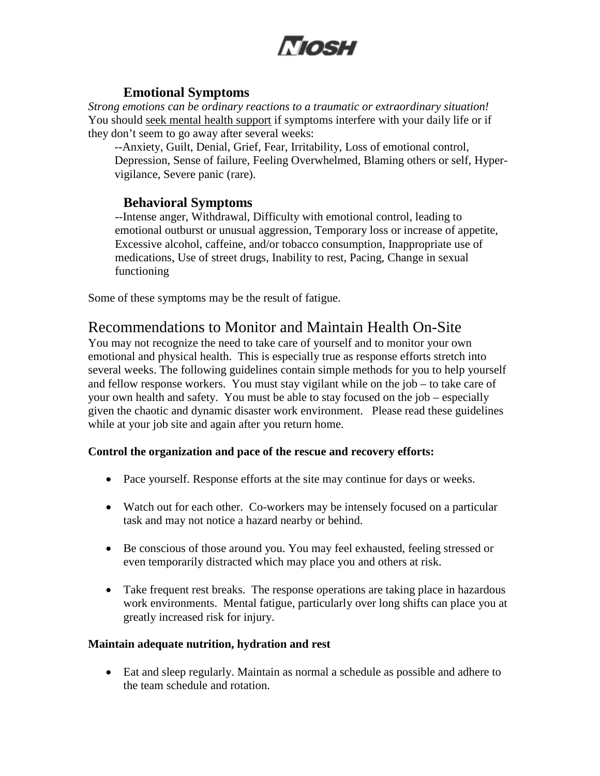

#### **Emotional Symptoms**

*Strong emotions can be ordinary reactions to a traumatic or extraordinary situation!*  You should seek mental health support if symptoms interfere with your daily life or if they don't seem to go away after several weeks:

--Anxiety, Guilt, Denial, Grief, Fear, Irritability, Loss of emotional control, Depression, Sense of failure, Feeling Overwhelmed, Blaming others or self, Hypervigilance, Severe panic (rare).

#### **Behavioral Symptoms**

--Intense anger, Withdrawal, Difficulty with emotional control, leading to emotional outburst or unusual aggression, Temporary loss or increase of appetite, Excessive alcohol, caffeine, and/or tobacco consumption, Inappropriate use of medications, Use of street drugs, Inability to rest, Pacing, Change in sexual functioning

Some of these symptoms may be the result of fatigue.

## Recommendations to Monitor and Maintain Health On-Site

You may not recognize the need to take care of yourself and to monitor your own emotional and physical health. This is especially true as response efforts stretch into several weeks. The following guidelines contain simple methods for you to help yourself and fellow response workers. You must stay vigilant while on the job – to take care of your own health and safety. You must be able to stay focused on the job – especially given the chaotic and dynamic disaster work environment. Please read these guidelines while at your job site and again after you return home.

#### **Control the organization and pace of the rescue and recovery efforts:**

- Pace yourself. Response efforts at the site may continue for days or weeks.
- Watch out for each other. Co-workers may be intensely focused on a particular task and may not notice a hazard nearby or behind.
- Be conscious of those around you. You may feel exhausted, feeling stressed or even temporarily distracted which may place you and others at risk.
- Take frequent rest breaks. The response operations are taking place in hazardous work environments. Mental fatigue, particularly over long shifts can place you at greatly increased risk for injury.

#### **Maintain adequate nutrition, hydration and rest**

• Eat and sleep regularly. Maintain as normal a schedule as possible and adhere to the team schedule and rotation.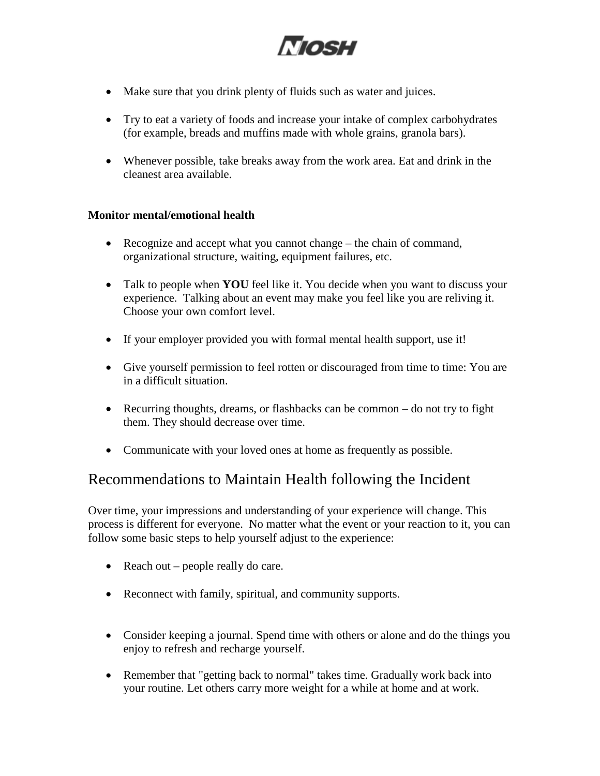

- Make sure that you drink plenty of fluids such as water and juices.
- Try to eat a variety of foods and increase your intake of complex carbohydrates (for example, breads and muffins made with whole grains, granola bars).
- Whenever possible, take breaks away from the work area. Eat and drink in the cleanest area available.

#### **Monitor mental/emotional health**

- Recognize and accept what you cannot change the chain of command, organizational structure, waiting, equipment failures, etc.
- Talk to people when **YOU** feel like it. You decide when you want to discuss your experience. Talking about an event may make you feel like you are reliving it. Choose your own comfort level.
- If your employer provided you with formal mental health support, use it!
- Give yourself permission to feel rotten or discouraged from time to time: You are in a difficult situation.
- Recurring thoughts, dreams, or flashbacks can be common do not try to fight them. They should decrease over time.
- Communicate with your loved ones at home as frequently as possible.

### Recommendations to Maintain Health following the Incident

Over time, your impressions and understanding of your experience will change. This process is different for everyone. No matter what the event or your reaction to it, you can follow some basic steps to help yourself adjust to the experience:

- Reach out people really do care.
- Reconnect with family, spiritual, and community supports.
- Consider keeping a journal. Spend time with others or alone and do the things you enjoy to refresh and recharge yourself.
- Remember that "getting back to normal" takes time. Gradually work back into your routine. Let others carry more weight for a while at home and at work.